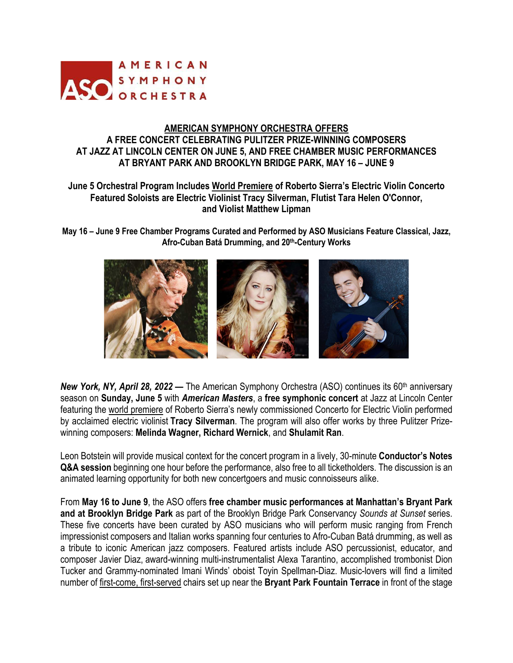

## **AMERICAN SYMPHONY ORCHESTRA OFFERS A FREE CONCERT CELEBRATING PULITZER PRIZE-WINNING COMPOSERS AT JAZZ AT LINCOLN CENTER ON JUNE 5, AND FREE CHAMBER MUSIC PERFORMANCES AT BRYANT PARK AND BROOKLYN BRIDGE PARK, MAY 16 – JUNE 9**

## **June 5 Orchestral Program Includes World Premiere of Roberto Sierra's Electric Violin Concerto Featured Soloists are Electric Violinist Tracy Silverman, Flutist Tara Helen O'Connor, and Violist Matthew Lipman**

**May 16 – June 9 Free Chamber Programs Curated and Performed by ASO Musicians Feature Classical, Jazz, Afro-Cuban Batá Drumming, and 20th-Century Works**



*New York, NY, April 28, 2022* — The American Symphony Orchestra (ASO) continues its 60<sup>th</sup> anniversary season on **Sunday, June 5** with *American Masters*, a **free symphonic concert** at Jazz at Lincoln Center featuring the world premiere of Roberto Sierra's newly commissioned Concerto for Electric Violin performed by acclaimed electric violinist **Tracy Silverman**. The program will also offer works by three Pulitzer Prizewinning composers: **Melinda Wagner, Richard Wernick**, and **Shulamit Ran**.

Leon Botstein will provide musical context for the concert program in a lively, 30-minute **Conductor's Notes Q&A session** beginning one hour before the performance, also free to all ticketholders. The discussion is an animated learning opportunity for both new concertgoers and music connoisseurs alike.

From **May 16 to June 9**, the ASO offers **free chamber music performances at Manhattan's Bryant Park and at Brooklyn Bridge Park** as part of the Brooklyn Bridge Park Conservancy *Sounds at Sunset* series. These five concerts have been curated by ASO musicians who will perform music ranging from French impressionist composers and Italian works spanning four centuries to Afro-Cuban Batá drumming, as well as a tribute to iconic American jazz composers. Featured artists include ASO percussionist, educator, and composer Javier Diaz, award-winning multi-instrumentalist Alexa Tarantino, accomplished trombonist Dion Tucker and Grammy-nominated Imani Winds' oboist Toyin Spellman-Diaz. Music-lovers will find a limited number of first-come, first-served chairs set up near the **Bryant Park Fountain Terrace** in front of the stage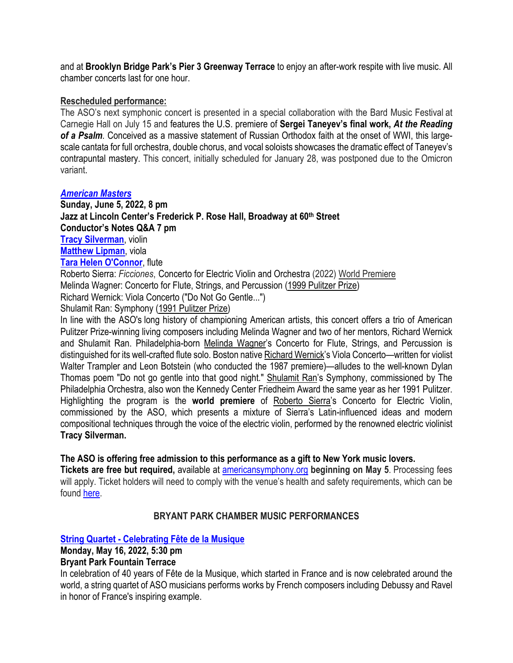and at **Brooklyn Bridge Park's Pier 3 Greenway Terrace** to enjoy an after-work respite with live music. All chamber concerts last for one hour.

### **Rescheduled performance:**

The ASO's next symphonic concert is presented in a special collaboration with the Bard Music Festival at Carnegie Hall on July 15 and features the U.S. premiere of **Sergei Taneyev's final work,** *At the Reading of a Psalm.* Conceived as a massive statement of Russian Orthodox faith at the onset of WWI, this largescale cantata for full orchestra, double chorus, and vocal soloists showcases the dramatic effect of Taneyev's contrapuntal mastery. This concert, initially scheduled for January 28, was postponed due to the Omicron variant.

### *American Masters*

**Sunday, June 5, 2022, 8 pm Jazz at Lincoln Center's Frederick P. Rose Hall, Broadway at 60th Street Conductor's Notes Q&A 7 pm Tracy Silverman**, violin **Matthew Lipman**, viola **Tara Helen O'Connor**, flute

Roberto Sierra: *Ficciones*, Concerto for Electric Violin and Orchestra (2022) World Premiere

Melinda Wagner: Concerto for Flute, Strings, and Percussion (1999 Pulitzer Prize)

Richard Wernick: Viola Concerto ("Do Not Go Gentle...")

Shulamit Ran: Symphony (1991 Pulitzer Prize)

In line with the ASO's long history of championing American artists, this concert offers a trio of American Pulitzer Prize-winning living composers including Melinda Wagner and two of her mentors, Richard Wernick and Shulamit Ran. Philadelphia-born Melinda Wagner's Concerto for Flute, Strings, and Percussion is distinguished for its well-crafted flute solo. Boston native Richard Wernick's Viola Concerto—written for violist Walter Trampler and Leon Botstein (who conducted the 1987 premiere)—alludes to the well-known Dylan Thomas poem "Do not go gentle into that good night." Shulamit Ran's Symphony, commissioned by The Philadelphia Orchestra, also won the Kennedy Center Friedheim Award the same year as her 1991 Pulitzer. Highlighting the program is the **world premiere** of Roberto Sierra's Concerto for Electric Violin, commissioned by the ASO, which presents a mixture of Sierra's Latin-influenced ideas and modern compositional techniques through the voice of the electric violin, performed by the renowned electric violinist **Tracy Silverman.** 

### **The ASO is offering free admission to this performance as a gift to New York music lovers.**

**Tickets are free but required,** available at americansymphony.org **beginning on May 5**. Processing fees will apply. Ticket holders will need to comply with the venue's health and safety requirements, which can be found here.

## **BRYANT PARK CHAMBER MUSIC PERFORMANCES**

## **String Quartet - Celebrating Fête de la Musique**

### **Monday, May 16, 2022, 5:30 pm**

## **Bryant Park Fountain Terrace**

In celebration of 40 years of Fête de la Musique, which started in France and is now celebrated around the world, a string quartet of ASO musicians performs works by French composers including Debussy and Ravel in honor of France's inspiring example.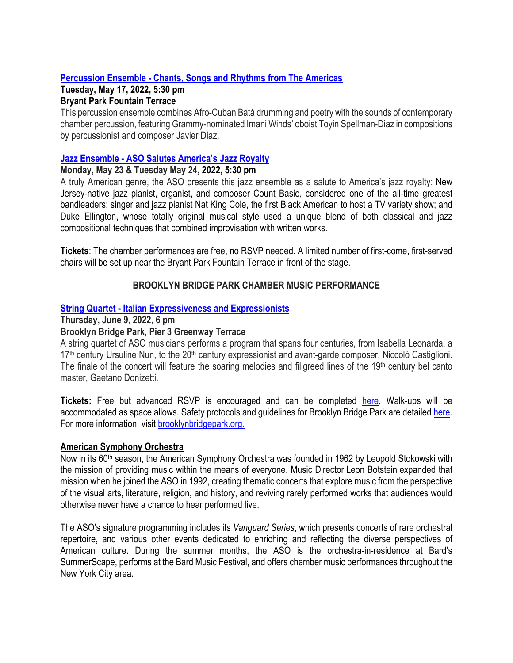# **Percussion Ensemble - Chants, Songs and Rhythms from The Americas**

#### **Tuesday, May 17, 2022, 5:30 pm Bryant Park Fountain Terrace**

This percussion ensemble combines Afro-Cuban Batá drumming and poetry with the sounds of contemporary chamber percussion, featuring Grammy-nominated Imani Winds' oboist Toyin Spellman-Diaz in compositions by percussionist and composer Javier Diaz.

# **Jazz Ensemble - ASO Salutes America's Jazz Royalty**

## **Monday, May 23 & Tuesday May 24, 2022, 5:30 pm**

A truly American genre, the ASO presents this jazz ensemble as a salute to America's jazz royalty: New Jersey-native jazz pianist, organist, and composer Count Basie, considered one of the all-time greatest bandleaders; singer and jazz pianist Nat King Cole, the first Black American to host a TV variety show; and Duke Ellington, whose totally original musical style used a unique blend of both classical and jazz compositional techniques that combined improvisation with written works.

**Tickets**: The chamber performances are free, no RSVP needed. A limited number of first-come, first-served chairs will be set up near the Bryant Park Fountain Terrace in front of the stage.

# **BROOKLYN BRIDGE PARK CHAMBER MUSIC PERFORMANCE**

## **String Quartet - Italian Expressiveness and Expressionists**

### **Thursday, June 9, 2022, 6 pm**

# **Brooklyn Bridge Park, Pier 3 Greenway Terrace**

A string quartet of ASO musicians performs a program that spans four centuries, from Isabella Leonarda, a 17<sup>th</sup> century Ursuline Nun, to the 20<sup>th</sup> century expressionist and avant-garde composer, Niccolò Castiglioni. The finale of the concert will feature the soaring melodies and filigreed lines of the  $19<sup>th</sup>$  century bel canto master, Gaetano Donizetti.

**Tickets:** Free but advanced RSVP is encouraged and can be completed here. Walk-ups will be accommodated as space allows. Safety protocols and guidelines for Brooklyn Bridge Park are detailed here. For more information, visit brooklynbridgepark.org.

### **American Symphony Orchestra**

Now in its 60<sup>th</sup> season, the American Symphony Orchestra was founded in 1962 by Leopold Stokowski with the mission of providing music within the means of everyone. Music Director Leon Botstein expanded that mission when he joined the ASO in 1992, creating thematic concerts that explore music from the perspective of the visual arts, literature, religion, and history, and reviving rarely performed works that audiences would otherwise never have a chance to hear performed live.

The ASO's signature programming includes its *Vanguard Series*, which presents concerts of rare orchestral repertoire, and various other events dedicated to enriching and reflecting the diverse perspectives of American culture. During the summer months, the ASO is the orchestra-in-residence at Bard's SummerScape, performs at the Bard Music Festival, and offers chamber music performances throughout the New York City area.